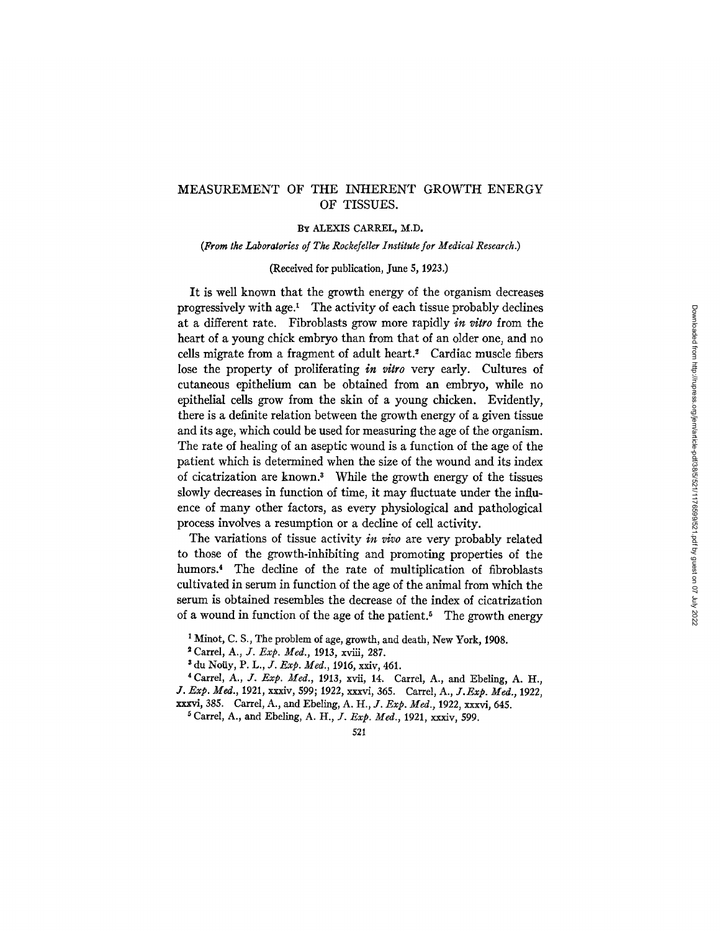# MEASUREMENT OF THE INHERENT GROWTH ENERGY OF TISSUES.

### BY ALEXIS CARREL, M.D.

*(From the Laboratories of The Rockefeller Institute for Medical Research.)* 

#### (Received for publication, June 5, 1923.)

It is well known that the growth energy of the organism decreases progressively with age. $^1$  The activity of each tissue probably declines at a different rate. Fibroblasts grow more rapidly *in vitro* from the heart of a young chick embryo than from that of an older one, and no cells migrate from a fragment of adult heart.<sup>2</sup> Cardiac muscle fibers lose the property of proliferating *in vitro* very early. Cultures of cutaneous epithelium can be obtained from an embryo, while no epithelial cells grow from the skin of a young chicken. Evidently, there is a definite relation between the growth energy of a given tissue and its age, which could be used for measuring the age of the organism. The rate of healing of an aseptic wound is a function of the age of the patient which is determined when the size of the wound and its index of cicatrization are known.<sup>3</sup> While the growth energy of the tissues slowly decreases in function of time, it may fluctuate under the influence of many other factors, as every physiological and pathological process involves a resumption or a decline of cell activity.

The variations of tissue activity *in vivo* are very probably related to those of the growth-lnhibiting and promoting properties of the humors.<sup>4</sup> The decline of the rate of multiplication of fibroblasts cultivated in serum in function of the age of the animal from which the serum is obtained resembles the decrease of the index of cicatrization of a wound in function of the age of the patient.<sup>5</sup> The growth energy

Carrel, *A., J. Exp. Med.,* 1913, xviii, 287.

521

<sup>&</sup>lt;sup>1</sup> Minot, C. S., The problem of age, growth, and death, New York, 1908.

<sup>&</sup>lt;sup>3</sup> du Noüy, P. L., *J. Exp. Med.*, 1916, xxiv, 461.

<sup>\*</sup> Carrel, *A., J..Exp. Med.,* 1913, xvii, 14. Carrel, A., and Ebeling, A. I-I., *J. Exp. Meal.,* 1921, xxxiv, 599; 1922, xxxvi, 365. Carrel, A., *J.l~xp. Med.,* 1922, xxxvi, 385. Carrel, A., and Ebeling, *A. H., J. Exp. Med.,* 1922, xxxvi, 645.

Carrel, A., and Ebeling, *A. H., ]. Exp. Med.,* 1921, xxxiv, 599.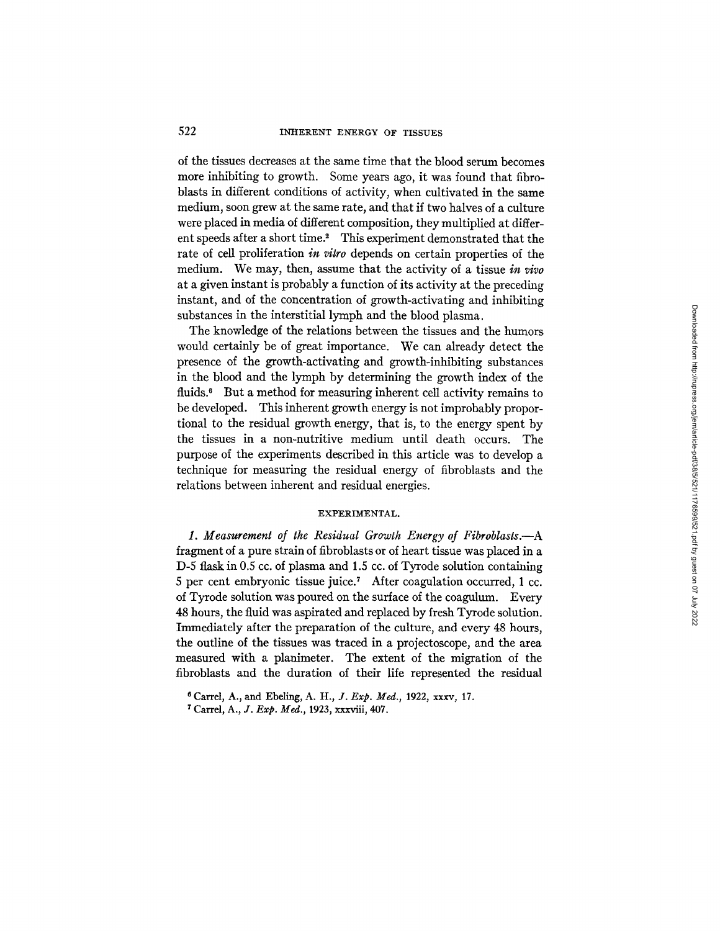of the tissues decreases at the same time that the blood serum becomes more inhibiting to growth. Some years ago, it was found that fibroblasts in different conditions of activity, when cultivated in the same medium, soon grew at the same rate, and that if two halves of a culture were placed in media of different composition, they multiplied at different speeds after a short time." This experiment demonstrated that the rate of cell proliferation *in vitro* depends on certain properties of the medium. We may, then, assume that the activity of a tissue *in vivo*  at a given instant is probably a function of its activity at the preceding instant, and of the concentration of growth-activating and inhibiting substances in the interstitial lymph and the blood plasma.

The knowledge of the relations between the tissues and the humors would certainly be of great importance. We can already detect the presence of the growth-activating and growth-inhibiting substances in the blood and the lymph by determining the growth index of the fluids.<sup>6</sup> But a method for measuring inherent cell activity remains to be developed. This inherent growth energy is not improbably proportional to the residual growth energy, that is, to the energy spent by the tissues in a non-nutritive medium until death occurs. The purpose of the experiments described in this article was to develop a technique for measuring the residual energy of fibroblasts and the relations between inherent and residual energies.

### EXPERIMENTAL.

*1. Measurement of the Residual Growth Energy of Fibroblasts.--A*  fragment of a pure strain of fibroblasts or of heart tissue was placed in a D-5 flask in 0.5 cc. of plasma and 1.5 cc. of Tyrode solution containing 5 per cent embryonic tissue juice.<sup>7</sup> After coagulation occurred, 1 cc. of Tyrode solution was poured on the surface of the coagulum. Every 48 hours, the fluid was aspirated and replaced by fresh Tyrode solution. Immediately after the preparation of the culture, and every 48 hours, the outline of the tissues was traced in a projectoscope, and the area measured with a planimeter. The extent of the migration of the fibroblasts and the duration of their life represented the residual

<sup>6</sup> Carrel, A., and Ebeling, A. H., *J. Exp. Meal.,* 1922, xxxv, 17.

<sup>7</sup> Carrel, A., ]. *Exp. Meal.,* 1923, xxxviii, 407.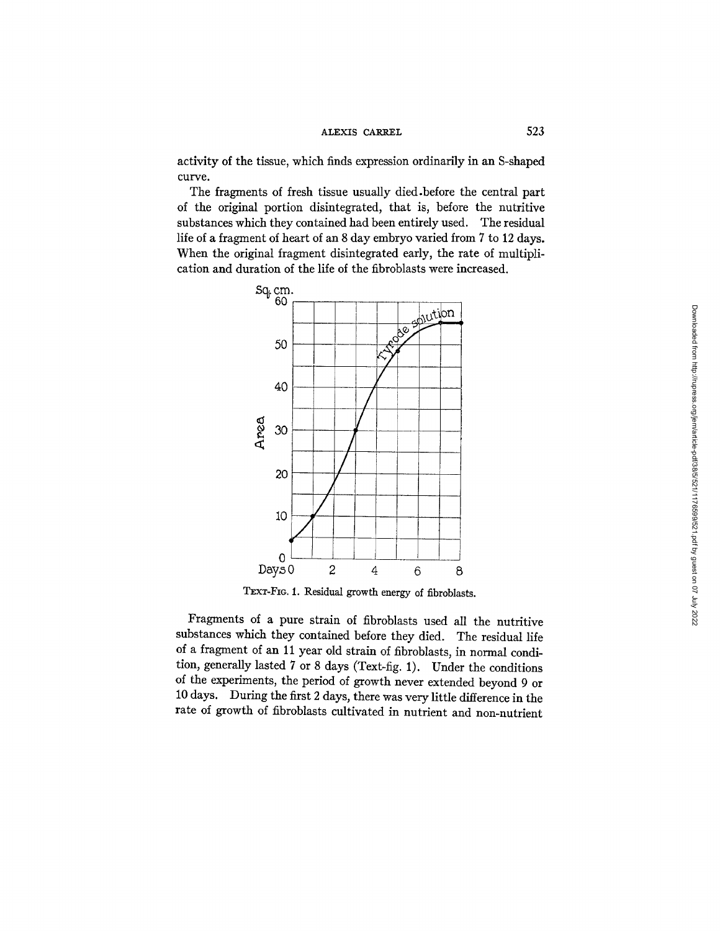## ALEXIS CARREL 523

activity of the tissue, which finds expression ordinarily in an S-shaped curve.

The fragments of fresh tissue usually died.before the central part of the original portion disintegrated, that is, before the nutritive substances which they contained had been entirely used. The residual life of a fragment of heart of an 8 day embryo varied from 7 to 12 days. When the original fragment disintegrated early, the rate of multiplication and duration of the life of the fibroblasts were increased.



TEXT-FIG. 1. Residual growth energy of fibroblasts.

Fragments of a pure strain of fibroblasts used all the nutritive substances which they contained before they died. The residual life of a fragment of an 11 year old strain of fibroblasts, in normal condition, generally lasted 7 or 8 days (Text-fig. 1). Under the conditions of the experiments, the period of growth never extended beyond 9 or 10 days. During the first 2 days, there was very little difference in the rate of growth of fibroblasts cultivated in nutrient and non-nutrient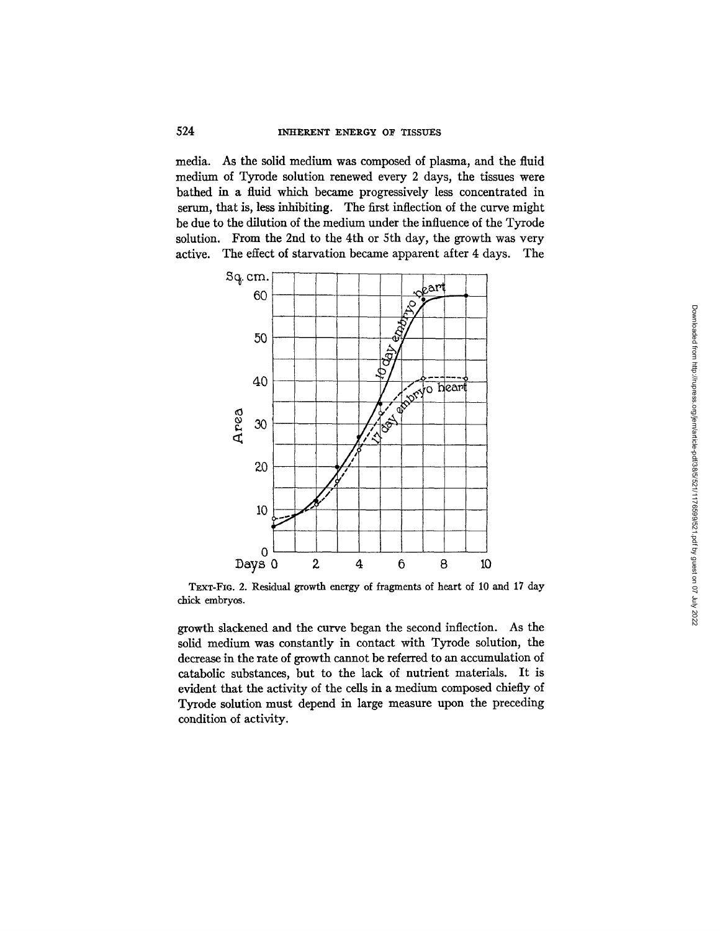media. As the solid medium was composed of plasma, and the fluid medium of Tyrode solution renewed every 2 days, the tissues were bathed in a fluid which became progressively less concentrated in serum, that is, less inhibiting. The first inflection of the curve might be due to the dilution of the medium under the influence of the Tyrode solution. From the 2nd to the 4th or 5th day, the growth was very active. The effect of starvation became apparent after 4 days. The



TEXT-FIG. 2. Residual growth energy of fragments of heart of i0 and 17 day chick embryos.

growth slackened and the curve began the second inflection. As the solid medium was constantly in contact with Tyrode solution, the decrease in the rate of growth cannot be referred to an accumulation of catabolic substances, but to the lack of nutrient materials. It is evident that the activity of the cells in a medium composed chiefly of Tyrode solution must depend in large measure upon the preceding condition of activity.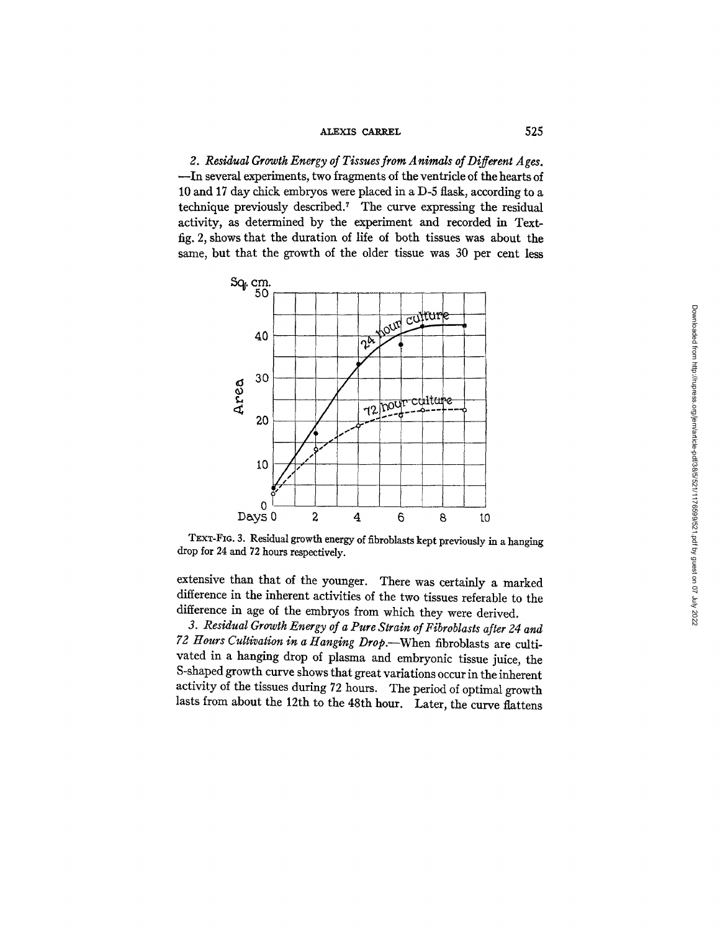### ALEXIS CARREL 525

*2. Residual Growth Energy of Tissues from Animals of Different Ages.*  --In several experiments, two fragments of the ventricle of the hearts of 10 and 17 day chick embryos were placed in a D-5 flask, according to a technique previously described.<sup>7</sup> The curve expressing the residual activity, as determined by the experiment and recorded in Textfig. 2, shows that the duration of life of both tissues was about the same, but that the growth of the older tissue was 30 per cent less



TEXT-FIG. 3. Residual growth energy of fibroblasts kept previously in a hanging drop for 24 and 72 hours respectively.

extensive than that of the younger. There was certainly a marked difference in the inherent activities of the two tissues referable to the difference in age of the embryos from which they were derived.

*3. Residual Growth Energy of a Pure Strain of Fibroblasts after 24 and 72 Hours Cultivation in a Hanging Drop.--When* fibroblasts are cultivated in a hanging drop of plasma and embryonic tissue juice, the S-shaped growth curve shows that great variations occur in the inherent activity of the tissues during 72 hours. The period of optimal growth lasts from about the 12th to the 48th hour. Later, the curve flattens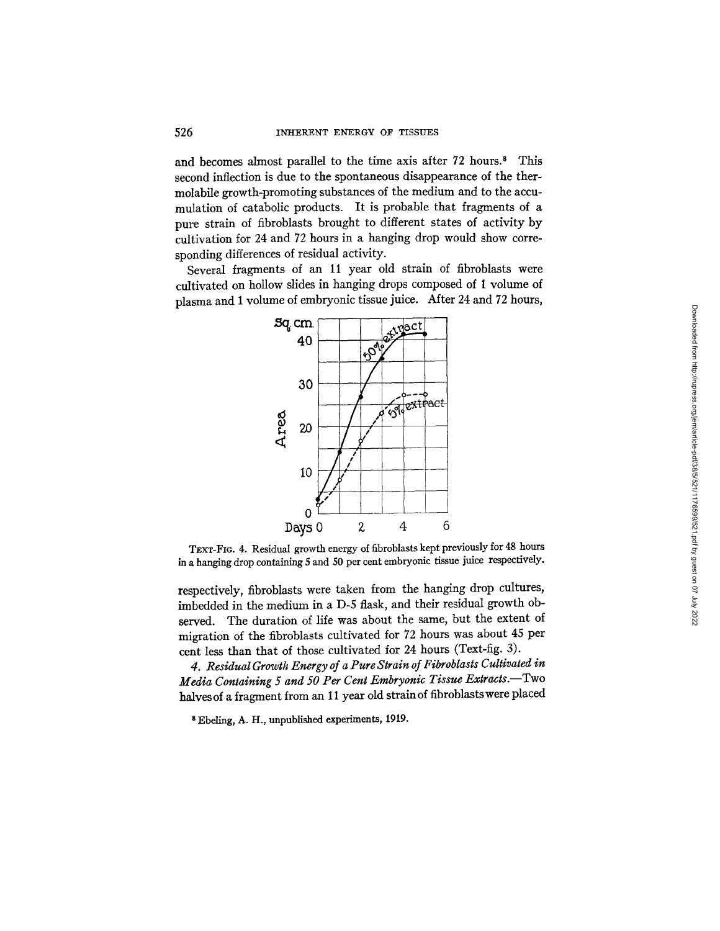and becomes almost parallel to the time axis after 72 hours.<sup>8</sup> This second inflection is due to the spontaneous disappearance of the thermolabile growth-promoting substances of the medium and to the accumulation of catabolic products. It is probable that fragments of a pure strain of fibroblasts brought to different states of activity by cultivation for 24 and 72 hours in a hanging drop would show corresponding differences of residual activity.

Several fragments of an 11 year old strain of fibroblasts were cultivated on hollow slides in hanging drops composed of 1 volume of plasma and 1 volume of embryonic tissue juice. After 24 and 72 hours,



TEXT-FIG. 4. Residual growth energy of fibroblasts kept previously for 48 hours in a hanging drop containing 5 and 50 per cent embryonic tissue juice respectively.

respectively, fibroblasts were taken from the hanging drop cultures, imbedded in the medium in a D-5 flask, and their residual growth observed. The duration of life was about the same, but the extent of migration of the fibroblasts cultivated for 72 hours was about 45 per cent less than that of those cultivated for 24 hours (Text-fig. 3).

*4. Residual Growth Energy of a Pure Strain of Fibroblasts Cultivated in Media Containing 5 and 50 Per Cent Embryonic Tissue Extracts.*-Two halves of a fragment from an 11 year old strain of fibroblasts were placed

8 Ebellng, A. H., unpublished experiments, 1919.